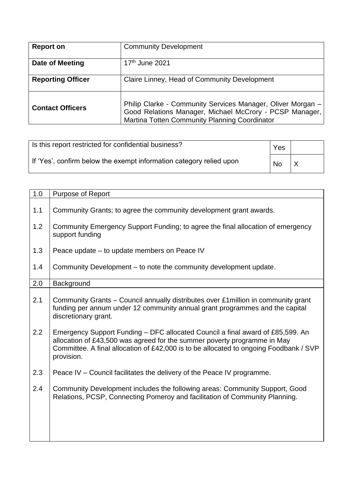| <b>Report on</b>         | <b>Community Development</b>                                                                                                                                            |
|--------------------------|-------------------------------------------------------------------------------------------------------------------------------------------------------------------------|
| Date of Meeting          | 17 <sup>th</sup> June 2021                                                                                                                                              |
| <b>Reporting Officer</b> | Claire Linney, Head of Community Development                                                                                                                            |
| <b>Contact Officers</b>  | Philip Clarke - Community Services Manager, Oliver Morgan -<br>Good Relations Manager, Michael McCrory - PCSP Manager,<br>Martina Totten Community Planning Coordinator |

| Is this report restricted for confidential business?                | Yes |     |
|---------------------------------------------------------------------|-----|-----|
| If 'Yes', confirm below the exempt information category relied upon | No  | ' X |

| 1.0 | <b>Purpose of Report</b>                                                                                                                                                                                                                                          |  |  |  |  |
|-----|-------------------------------------------------------------------------------------------------------------------------------------------------------------------------------------------------------------------------------------------------------------------|--|--|--|--|
| 1.1 | Community Grants; to agree the community development grant awards.                                                                                                                                                                                                |  |  |  |  |
| 1.2 | Community Emergency Support Funding; to agree the final allocation of emergency<br>support funding                                                                                                                                                                |  |  |  |  |
| 1.3 | Peace update – to update members on Peace IV                                                                                                                                                                                                                      |  |  |  |  |
| 1.4 | Community Development – to note the community development update.                                                                                                                                                                                                 |  |  |  |  |
| 2.0 | Background                                                                                                                                                                                                                                                        |  |  |  |  |
| 2.1 | Community Grants – Council annually distributes over £1 million in community grant<br>funding per annum under 12 community annual grant programmes and the capital<br>discretionary grant.                                                                        |  |  |  |  |
| 2.2 | Emergency Support Funding – DFC allocated Council a final award of £85,599. An<br>allocation of £43,500 was agreed for the summer poverty programme in May<br>Committee. A final allocation of £42,000 is to be allocated to ongoing Foodbank / SVP<br>provision. |  |  |  |  |
| 2.3 | Peace IV – Council facilitates the delivery of the Peace IV programme.                                                                                                                                                                                            |  |  |  |  |
| 2.4 | Community Development includes the following areas: Community Support, Good<br>Relations, PCSP, Connecting Pomeroy and facilitation of Community Planning.                                                                                                        |  |  |  |  |
|     |                                                                                                                                                                                                                                                                   |  |  |  |  |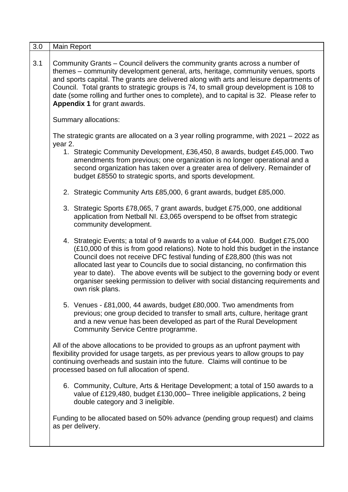| 3.0 | Main Report                                                                                                                                                                                                                                                                                                                                                                                                                                                                                                              |  |  |  |  |
|-----|--------------------------------------------------------------------------------------------------------------------------------------------------------------------------------------------------------------------------------------------------------------------------------------------------------------------------------------------------------------------------------------------------------------------------------------------------------------------------------------------------------------------------|--|--|--|--|
| 3.1 | Community Grants – Council delivers the community grants across a number of<br>themes - community development general, arts, heritage, community venues, sports<br>and sports capital. The grants are delivered along with arts and leisure departments of<br>Council. Total grants to strategic groups is 74, to small group development is 108 to<br>date (some rolling and further ones to complete), and to capital is 32. Please refer to<br>Appendix 1 for grant awards.                                           |  |  |  |  |
|     | Summary allocations:                                                                                                                                                                                                                                                                                                                                                                                                                                                                                                     |  |  |  |  |
|     | The strategic grants are allocated on a 3 year rolling programme, with 2021 - 2022 as<br>year 2.                                                                                                                                                                                                                                                                                                                                                                                                                         |  |  |  |  |
|     | 1. Strategic Community Development, £36,450, 8 awards, budget £45,000. Two<br>amendments from previous; one organization is no longer operational and a<br>second organization has taken over a greater area of delivery. Remainder of<br>budget £8550 to strategic sports, and sports development.                                                                                                                                                                                                                      |  |  |  |  |
|     | 2. Strategic Community Arts £85,000, 6 grant awards, budget £85,000.                                                                                                                                                                                                                                                                                                                                                                                                                                                     |  |  |  |  |
|     | 3. Strategic Sports £78,065, 7 grant awards, budget £75,000, one additional<br>application from Netball NI. £3,065 overspend to be offset from strategic<br>community development.                                                                                                                                                                                                                                                                                                                                       |  |  |  |  |
|     | 4. Strategic Events; a total of 9 awards to a value of £44,000. Budget £75,000<br>(£10,000 of this is from good relations). Note to hold this budget in the instance<br>Council does not receive DFC festival funding of £28,800 (this was not<br>allocated last year to Councils due to social distancing, no confirmation this<br>year to date). The above events will be subject to the governing body or event<br>organiser seeking permission to deliver with social distancing requirements and<br>own risk plans. |  |  |  |  |
|     | 5. Venues - £81,000, 44 awards, budget £80,000. Two amendments from<br>previous; one group decided to transfer to small arts, culture, heritage grant<br>and a new venue has been developed as part of the Rural Development<br>Community Service Centre programme.                                                                                                                                                                                                                                                      |  |  |  |  |
|     | All of the above allocations to be provided to groups as an upfront payment with<br>flexibility provided for usage targets, as per previous years to allow groups to pay<br>continuing overheads and sustain into the future. Claims will continue to be<br>processed based on full allocation of spend.                                                                                                                                                                                                                 |  |  |  |  |
|     | 6. Community, Culture, Arts & Heritage Development; a total of 150 awards to a<br>value of £129,480, budget £130,000– Three ineligible applications, 2 being<br>double category and 3 ineligible.                                                                                                                                                                                                                                                                                                                        |  |  |  |  |
|     | Funding to be allocated based on 50% advance (pending group request) and claims<br>as per delivery.                                                                                                                                                                                                                                                                                                                                                                                                                      |  |  |  |  |
|     |                                                                                                                                                                                                                                                                                                                                                                                                                                                                                                                          |  |  |  |  |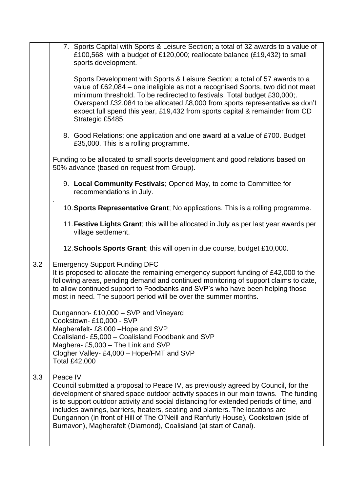|     | 7. Sports Capital with Sports & Leisure Section; a total of 32 awards to a value of<br>£100,568 with a budget of £120,000; reallocate balance (£19,432) to small<br>sports development.                                                                                                                                                                                                                                                                                                                                   |
|-----|---------------------------------------------------------------------------------------------------------------------------------------------------------------------------------------------------------------------------------------------------------------------------------------------------------------------------------------------------------------------------------------------------------------------------------------------------------------------------------------------------------------------------|
|     | Sports Development with Sports & Leisure Section; a total of 57 awards to a<br>value of £62,084 - one ineligible as not a recognised Sports, two did not meet<br>minimum threshold. To be redirected to festivals. Total budget £30,000;.<br>Overspend £32,084 to be allocated £8,000 from sports representative as don't<br>expect full spend this year, £19,432 from sports capital & remainder from CD<br>Strategic £5485                                                                                              |
|     | 8. Good Relations; one application and one award at a value of £700. Budget<br>£35,000. This is a rolling programme.                                                                                                                                                                                                                                                                                                                                                                                                      |
|     | Funding to be allocated to small sports development and good relations based on<br>50% advance (based on request from Group).                                                                                                                                                                                                                                                                                                                                                                                             |
|     | 9. Local Community Festivals; Opened May, to come to Committee for<br>recommendations in July.                                                                                                                                                                                                                                                                                                                                                                                                                            |
|     | 10. Sports Representative Grant; No applications. This is a rolling programme.                                                                                                                                                                                                                                                                                                                                                                                                                                            |
|     | 11. Festive Lights Grant; this will be allocated in July as per last year awards per<br>village settlement.                                                                                                                                                                                                                                                                                                                                                                                                               |
|     | 12. Schools Sports Grant; this will open in due course, budget £10,000.                                                                                                                                                                                                                                                                                                                                                                                                                                                   |
| 3.2 | <b>Emergency Support Funding DFC</b><br>It is proposed to allocate the remaining emergency support funding of £42,000 to the<br>following areas, pending demand and continued monitoring of support claims to date,<br>to allow continued support to Foodbanks and SVP's who have been helping those<br>most in need. The support period will be over the summer months.                                                                                                                                                  |
|     | Dungannon-£10,000 - SVP and Vineyard<br>Cookstown-£10,000 - SVP<br>Magherafelt-£8,000 - Hope and SVP<br>Coalisland-£5,000 - Coalisland Foodbank and SVP<br>Maghera-£5,000 - The Link and SVP<br>Clogher Valley- £4,000 - Hope/FMT and SVP<br><b>Total £42,000</b>                                                                                                                                                                                                                                                         |
| 3.3 | Peace IV<br>Council submitted a proposal to Peace IV, as previously agreed by Council, for the<br>development of shared space outdoor activity spaces in our main towns. The funding<br>is to support outdoor activity and social distancing for extended periods of time, and<br>includes awnings, barriers, heaters, seating and planters. The locations are<br>Dungannon (in front of Hill of The O'Neill and Ranfurly House), Cookstown (side of<br>Burnavon), Magherafelt (Diamond), Coalisland (at start of Canal). |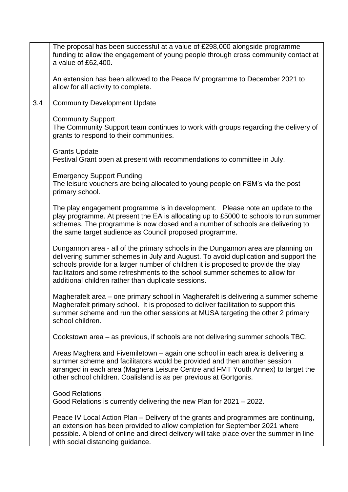|     | The proposal has been successful at a value of £298,000 alongside programme<br>funding to allow the engagement of young people through cross community contact at<br>a value of £62,400.                                                                                                                                                                                                             |
|-----|------------------------------------------------------------------------------------------------------------------------------------------------------------------------------------------------------------------------------------------------------------------------------------------------------------------------------------------------------------------------------------------------------|
|     | An extension has been allowed to the Peace IV programme to December 2021 to<br>allow for all activity to complete.                                                                                                                                                                                                                                                                                   |
| 3.4 | <b>Community Development Update</b>                                                                                                                                                                                                                                                                                                                                                                  |
|     | <b>Community Support</b><br>The Community Support team continues to work with groups regarding the delivery of<br>grants to respond to their communities.                                                                                                                                                                                                                                            |
|     | <b>Grants Update</b><br>Festival Grant open at present with recommendations to committee in July.                                                                                                                                                                                                                                                                                                    |
|     | <b>Emergency Support Funding</b><br>The leisure vouchers are being allocated to young people on FSM's via the post<br>primary school.                                                                                                                                                                                                                                                                |
|     | The play engagement programme is in development.  Please note an update to the<br>play programme. At present the EA is allocating up to £5000 to schools to run summer<br>schemes. The programme is now closed and a number of schools are delivering to<br>the same target audience as Council proposed programme.                                                                                  |
|     | Dungannon area - all of the primary schools in the Dungannon area are planning on<br>delivering summer schemes in July and August. To avoid duplication and support the<br>schools provide for a larger number of children it is proposed to provide the play<br>facilitators and some refreshments to the school summer schemes to allow for<br>additional children rather than duplicate sessions. |
|     | Magherafelt area – one primary school in Magherafelt is delivering a summer scheme<br>Magherafelt primary school. It is proposed to deliver facilitation to support this<br>summer scheme and run the other sessions at MUSA targeting the other 2 primary<br>school children.                                                                                                                       |
|     | Cookstown area – as previous, if schools are not delivering summer schools TBC.                                                                                                                                                                                                                                                                                                                      |
|     | Areas Maghera and Fivemiletown – again one school in each area is delivering a<br>summer scheme and facilitators would be provided and then another session<br>arranged in each area (Maghera Leisure Centre and FMT Youth Annex) to target the<br>other school children. Coalisland is as per previous at Gortgonis.                                                                                |
|     | <b>Good Relations</b><br>Good Relations is currently delivering the new Plan for 2021 – 2022.                                                                                                                                                                                                                                                                                                        |
|     | Peace IV Local Action Plan – Delivery of the grants and programmes are continuing,<br>an extension has been provided to allow completion for September 2021 where<br>possible. A blend of online and direct delivery will take place over the summer in line<br>with social distancing guidance.                                                                                                     |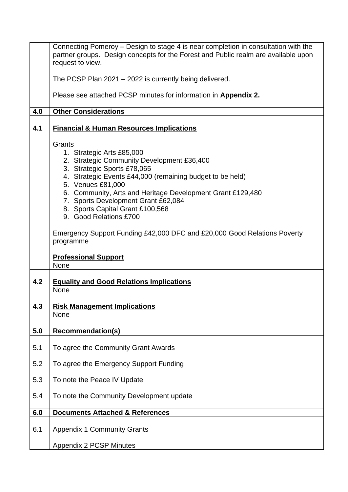| 4.0 | Connecting Pomeroy – Design to stage 4 is near completion in consultation with the<br>partner groups. Design concepts for the Forest and Public realm are available upon<br>request to view.<br>The PCSP Plan 2021 - 2022 is currently being delivered.<br>Please see attached PCSP minutes for information in Appendix 2.<br><b>Other Considerations</b>                                                                                                                                                                                                        |
|-----|------------------------------------------------------------------------------------------------------------------------------------------------------------------------------------------------------------------------------------------------------------------------------------------------------------------------------------------------------------------------------------------------------------------------------------------------------------------------------------------------------------------------------------------------------------------|
| 4.1 | <b>Financial &amp; Human Resources Implications</b>                                                                                                                                                                                                                                                                                                                                                                                                                                                                                                              |
| 4.2 | Grants<br>1. Strategic Arts £85,000<br>2. Strategic Community Development £36,400<br>3. Strategic Sports £78,065<br>4. Strategic Events £44,000 (remaining budget to be held)<br>5. Venues £81,000<br>6. Community, Arts and Heritage Development Grant £129,480<br>7. Sports Development Grant £62,084<br>8. Sports Capital Grant £100,568<br>9. Good Relations £700<br>Emergency Support Funding £42,000 DFC and £20,000 Good Relations Poverty<br>programme<br><b>Professional Support</b><br>None<br><b>Equality and Good Relations Implications</b><br>None |
| 4.3 | <b>Risk Management Implications</b><br>None                                                                                                                                                                                                                                                                                                                                                                                                                                                                                                                      |
| 5.0 | <b>Recommendation(s)</b>                                                                                                                                                                                                                                                                                                                                                                                                                                                                                                                                         |
| 5.1 | To agree the Community Grant Awards                                                                                                                                                                                                                                                                                                                                                                                                                                                                                                                              |
| 5.2 | To agree the Emergency Support Funding                                                                                                                                                                                                                                                                                                                                                                                                                                                                                                                           |
| 5.3 | To note the Peace IV Update                                                                                                                                                                                                                                                                                                                                                                                                                                                                                                                                      |
| 5.4 | To note the Community Development update                                                                                                                                                                                                                                                                                                                                                                                                                                                                                                                         |
| 6.0 | <b>Documents Attached &amp; References</b>                                                                                                                                                                                                                                                                                                                                                                                                                                                                                                                       |
| 6.1 | <b>Appendix 1 Community Grants</b><br><b>Appendix 2 PCSP Minutes</b>                                                                                                                                                                                                                                                                                                                                                                                                                                                                                             |
|     |                                                                                                                                                                                                                                                                                                                                                                                                                                                                                                                                                                  |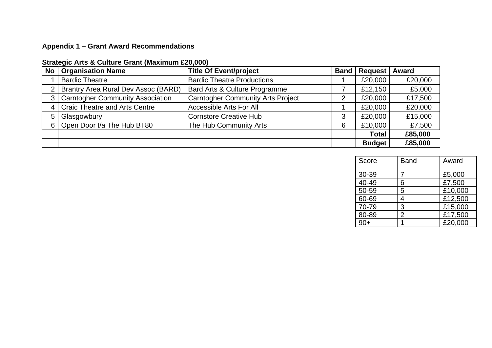## **Appendix 1 – Grant Award Recommendations**

| No             | <b>Organisation Name</b>                | <b>Title Of Event/project</b>            |   | <b>Band   Request   Award</b> |         |
|----------------|-----------------------------------------|------------------------------------------|---|-------------------------------|---------|
|                | <b>Bardic Theatre</b>                   | <b>Bardic Theatre Productions</b>        |   | £20,000                       | £20,000 |
| $\overline{2}$ | Brantry Area Rural Dev Assoc (BARD)     | Bard Arts & Culture Programme            |   | £12,150                       | £5,000  |
| 3              | <b>Carntogher Community Association</b> | <b>Carntogher Community Arts Project</b> | 2 | £20,000                       | £17,500 |
|                | <b>Craic Theatre and Arts Centre</b>    | Accessible Arts For All                  |   | £20,000                       | £20,000 |
| 5              | Glasgowbury                             | <b>Cornstore Creative Hub</b>            | 3 | £20,000                       | £15,000 |
| 6              | Open Door t/a The Hub BT80              | The Hub Community Arts                   | 6 | £10,000                       | £7,500  |
|                |                                         |                                          |   | <b>Total</b>                  | £85,000 |
|                |                                         |                                          |   | <b>Budget</b>                 | £85,000 |

### **Strategic Arts & Culture Grant (Maximum £20,000)**

| Score | <b>Band</b> | Award   |
|-------|-------------|---------|
| 30-39 |             | £5,000  |
| 40-49 | 6           | £7,500  |
| 50-59 | 5           | £10,000 |
| 60-69 | 4           | £12,500 |
| 70-79 | 3           | £15,000 |
| 80-89 | 2           | £17,500 |
|       |             | £20,000 |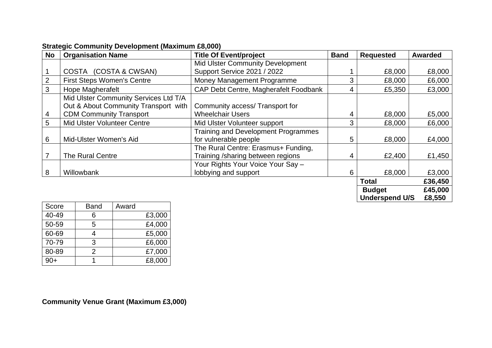| No     | <b>Organisation Name</b>              | <b>Title Of Event/project</b>              | <b>Band</b> | <b>Requested</b>      | <b>Awarded</b> |
|--------|---------------------------------------|--------------------------------------------|-------------|-----------------------|----------------|
|        |                                       | Mid Ulster Community Development           |             |                       |                |
|        | (COSTA & CWSAN)<br><b>COSTA</b>       | Support Service 2021 / 2022                |             | £8,000                | £8,000         |
| 2      | <b>First Steps Women's Centre</b>     | Money Management Programme                 | 3           | £8,000                | £6,000         |
| 3      | <b>Hope Magherafelt</b>               | CAP Debt Centre, Magherafelt Foodbank      | 4           | £5,350                | £3,000         |
|        | Mid Ulster Community Services Ltd T/A |                                            |             |                       |                |
|        | Out & About Community Transport with  | Community access/ Transport for            |             |                       |                |
| 4      | <b>CDM Community Transport</b>        | <b>Wheelchair Users</b>                    | 4           | £8,000                | £5,000         |
| 5      | <b>Mid Ulster Volunteer Centre</b>    | Mid Ulster Volunteer support               | 3           | £8,000                | £6,000         |
|        |                                       | <b>Training and Development Programmes</b> |             |                       |                |
| 6      | Mid-Ulster Women's Aid                | for vulnerable people                      | 5           | £8,000                | £4,000         |
|        |                                       | The Rural Centre: Erasmus+ Funding,        |             |                       |                |
|        | <b>The Rural Centre</b>               | Training /sharing between regions          | 4           | £2,400                | £1,450         |
|        |                                       | Your Rights Your Voice Your Say -          |             |                       |                |
| 8      | Willowbank                            | lobbying and support                       | 6           | £8,000                | £3,000         |
|        |                                       |                                            |             | <b>Total</b>          | £36,450        |
|        |                                       |                                            |             | <b>Budget</b>         | £45,000        |
| $\sim$ | $\mathbf{A}$ $\mathbf{A}$             |                                            |             | <b>Underspend U/S</b> | £8,550         |

### **Strategic Community Development (Maximum £8,000)**

| Score | <b>Band</b>   | Award  |
|-------|---------------|--------|
| 40-49 | 6             | £3,000 |
| 50-59 | 5             | £4,000 |
| 60-69 |               | £5,000 |
| 70-79 | 3             | £6,000 |
| 80-89 | $\mathcal{P}$ | £7,000 |
| $90+$ |               | £8,000 |

**Community Venue Grant (Maximum £3,000)**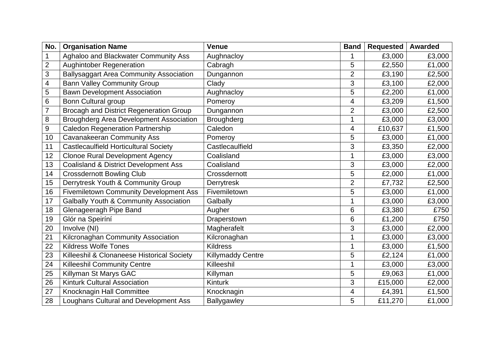| No.              | <b>Organisation Name</b>                          | <b>Venue</b>             | <b>Band</b>              | <b>Requested</b> | <b>Awarded</b> |
|------------------|---------------------------------------------------|--------------------------|--------------------------|------------------|----------------|
| $\mathbf 1$      | Aghaloo and Blackwater Community Ass              | Aughnacloy               | 1                        | £3,000           | £3,000         |
| $\overline{2}$   | <b>Aughintober Regeneration</b>                   | Cabragh                  | 5                        | £2,550           | £1,000         |
| 3                | <b>Ballysaggart Area Community Association</b>    | Dungannon                | $\overline{2}$           | £3,190           | £2,500         |
| $\overline{4}$   | <b>Bann Valley Community Group</b>                | Clady                    | 3                        | £3,100           | £2,000         |
| 5                | <b>Bawn Development Association</b>               | Aughnacloy               | 5                        | £2,200           | £1,000         |
| $\,6$            | <b>Bonn Cultural group</b>                        | Pomeroy                  | 4                        | £3,209           | £1,500         |
| $\overline{7}$   | <b>Brocagh and District Regeneration Group</b>    | Dungannon                | $\overline{2}$           | £3,000           | £2,500         |
| 8                | <b>Broughderg Area Development Association</b>    | <b>Broughderg</b>        | 1                        | £3,000           | £3,000         |
| $\boldsymbol{9}$ | <b>Caledon Regeneration Partnership</b>           | Caledon                  | $\overline{\mathcal{A}}$ | £10,637          | £1,500         |
| 10               | <b>Cavanakeeran Community Ass</b>                 | Pomeroy                  | 5                        | £3,000           | £1,000         |
| 11               | Castlecaulfield Horticultural Society             | Castlecaulfield          | 3                        | £3,350           | £2,000         |
| 12               | <b>Clonoe Rural Development Agency</b>            | Coalisland               | 1                        | £3,000           | £3,000         |
| 13               | <b>Coalisland &amp; District Development Ass</b>  | Coalisland               | 3                        | £3,000           | £2,000         |
| 14               | <b>Crossdernott Bowling Club</b>                  | Crossdernott             | 5                        | £2,000           | £1,000         |
| 15               | Derrytresk Youth & Community Group                | Derrytresk               | $\overline{2}$           | £7,732           | £2,500         |
| 16               | <b>Fivemiletown Community Development Ass</b>     | Fivemiletown             | 5                        | £3,000           | £1,000         |
| 17               | <b>Galbally Youth &amp; Community Association</b> | Galbally                 | 1                        | £3,000           | £3,000         |
| 18               | Glenageeragh Pipe Band                            | Augher                   | 6                        | £3,380           | £750           |
| 19               | Glór na Speiríní                                  | Draperstown              | $6\,$                    | £1,200           | £750           |
| 20               | Involve (NI)                                      | Magherafelt              | 3                        | £3,000           | £2,000         |
| 21               | Kilcronaghan Community Association                | Kilcronaghan             | 1                        | £3,000           | £3,000         |
| 22               | <b>Kildress Wolfe Tones</b>                       | <b>Kildress</b>          | 1                        | £3,000           | £1,500         |
| 23               | Killeeshil & Clonaneese Historical Society        | <b>Killymaddy Centre</b> | 5                        | £2,124           | £1,000         |
| 24               | <b>Killeeshil Community Centre</b>                | Killeeshil               | 1                        | £3,000           | £3,000         |
| 25               | Killyman St Marys GAC                             | Killyman                 | 5                        | £9,063           | £1,000         |
| 26               | Kinturk Cultural Association                      | <b>Kinturk</b>           | $\mathfrak{S}$           | £15,000          | £2,000         |
| 27               | Knocknagin Hall Committee                         | Knocknagin               | 4                        | £4,391           | £1,500         |
| 28               | Loughans Cultural and Development Ass             | Ballygawley              | 5                        | £11,270          | £1,000         |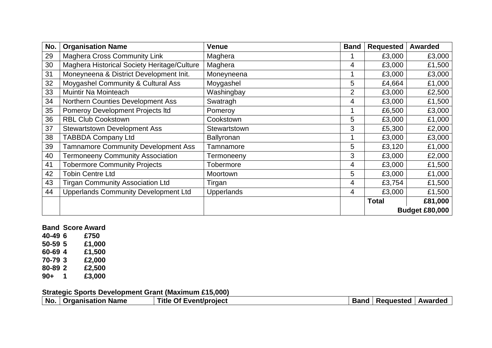| No. | <b>Organisation Name</b>                    | <b>Venue</b>           | <b>Band</b>    | <b>Requested</b> | <b>Awarded</b>        |
|-----|---------------------------------------------|------------------------|----------------|------------------|-----------------------|
| 29  | <b>Maghera Cross Community Link</b>         | Maghera                |                | £3,000           | £3,000                |
| 30  | Maghera Historical Society Heritage/Culture | Maghera                | 4              | £3,000           | £1,500                |
| 31  | Moneyneena & District Development Init.     | Moneyneena             |                | £3,000           | £3,000                |
| 32  | Moygashel Community & Cultural Ass          | Moygashel              | 5              | £4,664           | £1,000                |
| 33  | Muintir Na Mointeach                        | Washingbay             | $\overline{2}$ | £3,000           | £2,500                |
| 34  | <b>Northern Counties Development Ass</b>    | Swatragh               | 4              | £3,000           | £1,500                |
| 35  | Pomeroy Development Projects Itd            | Pomeroy                |                | £6,500           | £3,000                |
| 36  | <b>RBL Club Cookstown</b>                   | Cookstown              | 5              | £3,000           | £1,000                |
| 37  | <b>Stewartstown Development Ass</b>         | Stewartstown           | 3              | £5,300           | £2,000                |
| 38  | <b>TABBDA Company Ltd</b>                   | <b>Ballyronan</b>      |                | £3,000           | £3,000                |
| 39  | <b>Tamnamore Community Development Ass</b>  | Tamnamore              | 5              | £3,120           | £1,000                |
| 40  | <b>Termoneeny Community Association</b>     | Termoneeny             | 3              | £3,000           | £2,000                |
| 41  | <b>Tobermore Community Projects</b>         | Tobermore              | 4              | £3,000           | £1,500                |
| 42  | <b>Tobin Centre Ltd</b>                     | Moortown               | 5              | £3,000           | £1,000                |
| 43  | <b>Tirgan Community Association Ltd</b>     | Tirgan                 | 4              | £3,754           | £1,500                |
| 44  | <b>Upperlands Community Development Ltd</b> | 4<br><b>Upperlands</b> |                | £3,000           | £1,500                |
|     |                                             |                        |                | <b>Total</b>     | £81,000               |
|     |                                             |                        |                |                  | <b>Budget £80,000</b> |

# **Band Score Award**

**40-49 6 £750 50-59 5 £1,000 60-69 4 £1,500 70-79 3 £2,000 80-89 2 £2,500 90+ 1 £3,000**

**Strategic Sports Development Grant (Maximum £15,000)**

|  |  | No.   Organisation Name | <b>Title Of Event/project</b> |  | Band   Requested   Awarded |  |
|--|--|-------------------------|-------------------------------|--|----------------------------|--|
|--|--|-------------------------|-------------------------------|--|----------------------------|--|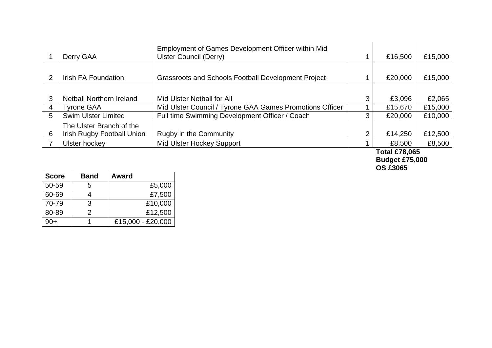|   | Derry GAA                         | Employment of Games Development Officer within Mid<br>Ulster Council (Derry) |   | £16,500 | £15,000 |
|---|-----------------------------------|------------------------------------------------------------------------------|---|---------|---------|
|   |                                   |                                                                              |   |         |         |
|   | Irish FA Foundation               | <b>Grassroots and Schools Football Development Project</b>                   |   | £20,000 | £15,000 |
|   |                                   |                                                                              |   |         |         |
|   | Netball Northern Ireland          | Mid Ulster Netball for All                                                   | 3 | £3,096  | £2,065  |
| 4 | <b>Tyrone GAA</b>                 | Mid Ulster Council / Tyrone GAA Games Promotions Officer                     |   | £15,670 | £15,000 |
| 5 | <b>Swim Ulster Limited</b>        | Full time Swimming Development Officer / Coach                               | 3 | £20,000 | £10,000 |
|   | The Ulster Branch of the          |                                                                              |   |         |         |
| 6 | <b>Irish Rugby Football Union</b> | Rugby in the Community                                                       | າ | £14,250 | £12,500 |
|   | Ulster hockey                     | Mid Ulster Hockey Support                                                    |   | £8,500  | £8,500  |

**Total £78,065 Budget £75,000 OS £3065** 

| <b>Score</b> | <b>Band</b> | Award             |
|--------------|-------------|-------------------|
| 50-59        | 5           | £5,000            |
| 60-69        |             | £7,500            |
| 70-79        | 3           | £10,000           |
| 80-89        | 2           | £12,500           |
| $90+$        |             | £15,000 - £20,000 |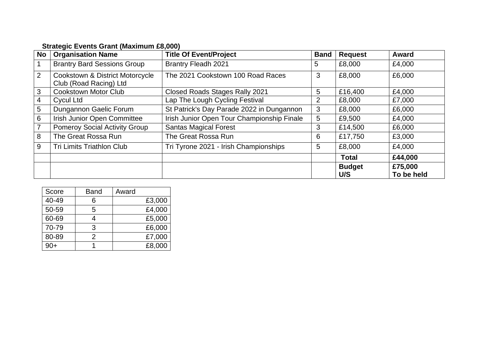| <b>No</b>      | <b>Organisation Name</b>                                  | <b>Title Of Event/Project</b>              | <b>Band</b> | <b>Request</b>       | Award                 |
|----------------|-----------------------------------------------------------|--------------------------------------------|-------------|----------------------|-----------------------|
|                | <b>Brantry Bard Sessions Group</b>                        | <b>Brantry Fleadh 2021</b>                 | 5           | £8,000               | £4,000                |
| 2              | Cookstown & District Motorcycle<br>Club (Road Racing) Ltd | The 2021 Cookstown 100 Road Races          | 3           | £8,000               | £6,000                |
| 3              | <b>Cookstown Motor Club</b>                               | Closed Roads Stages Rally 2021             | 5           | £16,400              | £4,000                |
| 4              | Cycul Ltd                                                 | Lap The Lough Cycling Festival             | 2           | £8,000               | £7,000                |
| 5              | Dungannon Gaelic Forum                                    | St Patrick's Day Parade 2022 in Dungannon  | 3           | £8,000               | £6,000                |
| 6              | Irish Junior Open Committee                               | Irish Junior Open Tour Championship Finale | 5           | £9,500               | £4,000                |
| $\overline{7}$ | <b>Pomeroy Social Activity Group</b>                      | <b>Santas Magical Forest</b>               | 3           | £14,500              | £6,000                |
| 8              | The Great Rossa Run                                       | The Great Rossa Run                        | 6           | £17,750              | £3,000                |
| 9              | Tri Limits Triathlon Club                                 | Tri Tyrone 2021 - Irish Championships      | 5           | £8,000               | £4,000                |
|                |                                                           |                                            |             | <b>Total</b>         | £44,000               |
|                |                                                           |                                            |             | <b>Budget</b><br>U/S | £75,000<br>To be held |

### **Strategic Events Grant (Maximum £8,000)**

| Score | <b>Band</b> | Award  |
|-------|-------------|--------|
| 40-49 | 6           | £3,000 |
| 50-59 | 5           | £4,000 |
| 60-69 | 4           | £5,000 |
| 70-79 | 3           | £6,000 |
| 80-89 | 2           | £7,000 |
| വ⊥    |             | £8,000 |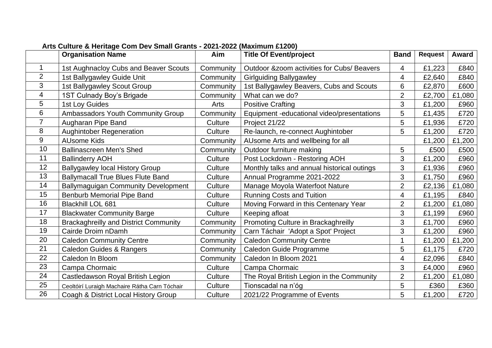|                | <b>Organisation Name</b>                      | Aim       | <b>Title Of Event/project</b>               | <b>Band</b>    | <b>Request</b> | <b>Award</b> |
|----------------|-----------------------------------------------|-----------|---------------------------------------------|----------------|----------------|--------------|
|                | 1st Aughnacloy Cubs and Beaver Scouts         | Community | Outdoor & zoom activities for Cubs/ Beavers | 4              | £1,223         | £840         |
| $\overline{2}$ | 1st Ballygawley Guide Unit                    | Community | <b>Girlguiding Ballygawley</b>              | 4              | £2,640         | £840         |
| 3              | 1st Ballygawley Scout Group                   | Community | 1st Ballygawley Beavers, Cubs and Scouts    | 6              | £2,870         | £600         |
| $\overline{4}$ | 1ST Culnady Boy's Brigade                     | Community | What can we do?                             | $\overline{2}$ | £2,700         | £1,080       |
| 5              | 1st Loy Guides                                | Arts      | <b>Positive Crafting</b>                    | 3              | £1,200         | £960         |
| 6              | Ambassadors Youth Community Group             | Community | Equipment -educational video/presentations  | 5              | £1,435         | £720         |
| $\overline{7}$ | Augharan Pipe Band                            | Culture   | Project 21/22                               | 5              | £1,936         | £720         |
| 8              | <b>Aughintober Regeneration</b>               | Culture   | Re-launch, re-connect Aughintober           | 5              | £1,200         | £720         |
| $9\,$          | <b>AUsome Kids</b>                            | Community | AUsome Arts and wellbeing for all           |                | £1,200         | £1,200       |
| 10             | <b>Ballinascreen Men's Shed</b>               | Community | Outdoor furniture making                    | 5              | £500           | £500         |
| 11             | <b>Ballinderry AOH</b>                        | Culture   | Post Lockdown - Restoring AOH               | 3              | £1,200         | £960         |
| 12             | <b>Ballygawley local History Group</b>        | Culture   | Monthly talks and annual historical outings | 3              | £1,936         | £960         |
| 13             | <b>Ballymacall True Blues Flute Band</b>      | Culture   | Annual Programme 2021-2022                  | 3              | £1,750         | £960         |
| 14             | <b>Ballymaguigan Community Development</b>    | Culture   | Manage Moyola Waterfoot Nature              | $\overline{2}$ | £2,136         | £1,080       |
| 15             | <b>Benburb Memorial Pipe Band</b>             | Culture   | <b>Running Costs and Tuition</b>            | 4              | £1,195         | £840         |
| 16             | <b>Blackhill LOL 681</b>                      | Culture   | Moving Forward in this Centenary Year       | $\overline{2}$ | £1,200         | £1,080       |
| 17             | <b>Blackwater Community Barge</b>             | Culture   | Keeping afloat                              | 3              | £1,199         | £960         |
| 18             | <b>Brackaghreilly and District Community</b>  | Community | Promoting Culture in Brackaghreilly         | 3              | £1,700         | £960         |
| 19             | Cairde Droim nDamh                            | Community | Carn Táchair 'Adopt a Spot' Project         | 3              | £1,200         | £960         |
| 20             | <b>Caledon Community Centre</b>               | Community | <b>Caledon Community Centre</b>             | 1              | £1,200         | £1,200       |
| 21             | <b>Caledon Guides &amp; Rangers</b>           | Community | Caledon Guide Programme                     | 5              | £1,175         | £720         |
| 22             | Caledon In Bloom                              | Community | Caledon In Bloom 2021                       | 4              | £2,096         | £840         |
| 23             | Campa Chormaic                                | Culture   | Campa Chormaic                              | 3              | £4,000         | £960         |
| 24             | Castledawson Royal British Legion             | Culture   | The Royal British Legion in the Community   | $\overline{2}$ | £1,200         | £1,080       |
| 25             | Ceoltóirí Luraigh Machaire Rátha Carn Tóchair | Culture   | Tionscadal na n'óg                          | 5              | £360           | £360         |
| 26             | Coagh & District Local History Group          | Culture   | 2021/22 Programme of Events                 | 5              | £1,200         | £720         |

### **Arts Culture & Heritage Com Dev Small Grants - 2021-2022 (Maximum £1200)**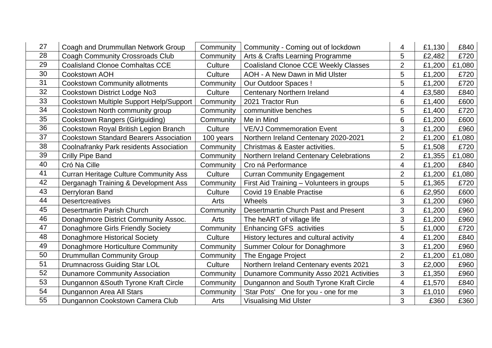| 27 | Coagh and Drummullan Network Group             | Community | Community - Coming out of lockdown          | 4                       | £1,130 | £840   |
|----|------------------------------------------------|-----------|---------------------------------------------|-------------------------|--------|--------|
| 28 | <b>Coagh Community Crossroads Club</b>         | Community | Arts & Crafts Learning Programme            | 5                       | £2,482 | £720   |
| 29 | <b>Coalisland Clonoe Comhaltas CCE</b>         | Culture   | <b>Coalisland Clonoe CCE Weekly Classes</b> | $\overline{2}$          | £1,200 | £1,080 |
| 30 | <b>Cookstown AOH</b>                           | Culture   | <b>AOH - A New Dawn in Mid Ulster</b>       | 5                       | £1,200 | £720   |
| 31 | <b>Cookstown Community allotments</b>          | Community | <b>Our Outdoor Spaces!</b>                  | 5                       | £1,200 | £720   |
| 32 | Cookstown District Lodge No3                   | Culture   | <b>Centenary Northern Ireland</b>           | $\overline{\mathbf{4}}$ | £3,580 | £840   |
| 33 | Cookstown Multiple Support Help/Support        | Community | 2021 Tractor Run                            | 6                       | £1,400 | £600   |
| 34 | Cookstown North community group                | Community | communitive benches                         | 5                       | £1,400 | £720   |
| 35 | <b>Cookstown Rangers (Girlguiding)</b>         | Community | Me in Mind                                  | 6                       | £1,200 | £600   |
| 36 | Cookstown Royal British Legion Branch          | Culture   | <b>VE/VJ Commemoration Event</b>            | 3                       | £1,200 | £960   |
| 37 | <b>Cookstown Standard Bearers Association</b>  | 100 years | Northern Ireland Centenary 2020-2021        | $\overline{2}$          | £1,200 | £1,080 |
| 38 | <b>Coolnafranky Park residents Association</b> | Community | Christmas & Easter activities.              | 5                       | £1,508 | £720   |
| 39 | Crilly Pipe Band                               | Community | Northern Ireland Centenary Celebrations     | $\overline{2}$          | £1,355 | £1,080 |
| 40 | Cró Na Cille                                   | Community | Cro ná Performance                          | $\overline{4}$          | £1,200 | £840   |
| 41 | <b>Curran Heritage Culture Community Ass</b>   | Culture   | <b>Curran Community Engagement</b>          | $\overline{2}$          | £1,200 | £1,080 |
| 42 | Derganagh Training & Development Ass           | Community | First Aid Training - Volunteers in groups   | 5                       | £1,365 | £720   |
| 43 | Derryloran Band                                | Culture   | Covid 19 Enable Practise                    | 6                       | £2,950 | £600   |
| 44 | <b>Desertcreatives</b>                         | Arts      | Wheels                                      | 3                       | £1,200 | £960   |
| 45 | Desertmartin Parish Church                     | Community | Desertmartin Church Past and Present        | 3                       | £1,200 | £960   |
| 46 | Donaghmore District Community Assoc.           | Arts      | The heART of village life                   | 3                       | £1,200 | £960   |
| 47 | Donaghmore Girls Friendly Society              | Community | <b>Enhancing GFS activities</b>             | 5                       | £1,000 | £720   |
| 48 | <b>Donaghmore Historical Society</b>           | Culture   | History lectures and cultural activity      | $\overline{4}$          | £1,200 | £840   |
| 49 | Donaghmore Horticulture Community              | Community | <b>Summer Colour for Donaghmore</b>         | 3                       | £1,200 | £960   |
| 50 | Drummullan Community Group                     | Community | The Engage Project                          | $\overline{2}$          | £1,200 | £1,080 |
| 51 | <b>Drumnacross Guiding Star LOL</b>            | Culture   | Northern Ireland Centenary events 2021      | 3                       | £2,000 | £960   |
| 52 | <b>Dunamore Community Association</b>          | Community | Dunamore Community Asso 2021 Activities     | 3                       | £1,350 | £960   |
| 53 | Dungannon & South Tyrone Kraft Circle          | Community | Dungannon and South Tyrone Kraft Circle     | 4                       | £1,570 | £840   |
| 54 | Dungannon Area All Stars                       | Community | 'Star Pots' One for you - one for me        | 3                       | £1,010 | £960   |
| 55 | Dungannon Cookstown Camera Club                | Arts      | <b>Visualising Mid Ulster</b>               | 3                       | £360   | £360   |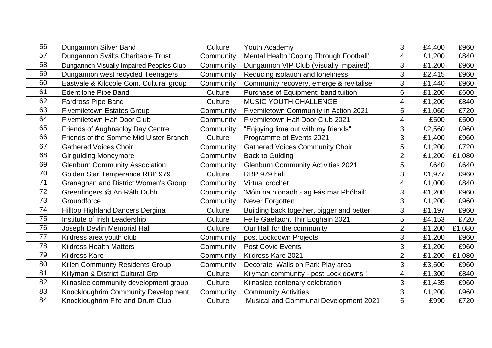| 56 | Dungannon Silver Band                       | Culture   | Youth Academy                                | 3              | £4,400 | £960   |
|----|---------------------------------------------|-----------|----------------------------------------------|----------------|--------|--------|
| 57 | Dungannon Swifts Charitable Trust           | Community | Mental Health 'Coping Through Football'      | 4              | £1,200 | £840   |
| 58 | Dungannon Visually Impaired Peoples Club    | Community | Dungannon VIP Club (Visually Impaired)       | 3              | £1,200 | £960   |
| 59 | Dungannon west recycled Teenagers           | Community | Reducing isolation and loneliness            | 3              | £2,415 | £960   |
| 60 | Eastvale & Kilcoole Com. Cultural group     | Community | Community recovery, emerge & revitalise      | 3              | £1,440 | £960   |
| 61 | <b>Edentilone Pipe Band</b>                 | Culture   | Purchase of Equipment; band tuition          | 6              | £1,200 | £600   |
| 62 | <b>Fardross Pipe Band</b>                   | Culture   | MUSIC YOUTH CHALLENGE                        | 4              | £1,200 | £840   |
| 63 | <b>Fivemiletown Estates Group</b>           | Community | Fivemiletown Community in Action 2021        | 5              | £1,060 | £720   |
| 64 | <b>Fivemiletown Half Door Club</b>          | Community | Fivemiletown Half Door Club 2021             | 4              | £500   | £500   |
| 65 | Friends of Aughnacloy Day Centre            | Community | "Enjoying time out with my friends"          | 3              | £2,560 | £960   |
| 66 | Friends of the Somme Mid Ulster Branch      | Culture   | Programme of Events 2021                     | 3              | £1,400 | £960   |
| 67 | <b>Gathered Voices Choir</b>                | Community | <b>Gathered Voices Community Choir</b>       | 5              | £1,200 | £720   |
| 68 | <b>Girlguiding Moneymore</b>                | Community | <b>Back to Guiding</b>                       | $\overline{2}$ | £1,200 | £1,080 |
| 69 | <b>Glenburn Community Association</b>       | Community | <b>Glenburn Community Activities 2021</b>    | 5              | £640   | £640   |
| 70 | Golden Star Temperance RBP 979              | Culture   | RBP 979 hall                                 | 3              | £1,977 | £960   |
| 71 | <b>Granaghan and District Women's Group</b> | Community | Virtual crochet                              | 4              | £1,000 | £840   |
| 72 | Greenfingers @ An Ráth Dubh                 | Community | 'Móin na nIonadh - ag Fás mar Phóbail'       | 3              | £1,200 | £960   |
| 73 | Groundforce                                 | Community | Never Forgotten                              | 3              | £1,200 | £960   |
| 74 | <b>Hilltop Highland Dancers Dergina</b>     | Culture   | Building back together, bigger and better    | 3              | £1,197 | £960   |
| 75 | Institute of Irish Leadership               | Culture   | Feile Gaeltacht Thir Eoghain 2021            | 5              | £4,153 | £720   |
| 76 | <b>Joseph Devlin Memorial Hall</b>          | Culture   | Our Hall for the community                   | $\overline{2}$ | £1,200 | £1,080 |
| 77 | Kildress area youth club                    | Community | post Lockdown Projects                       | 3              | £1,200 | £960   |
| 78 | <b>Kildress Health Matters</b>              | Community | <b>Post Covid Events</b>                     | 3              | £1,200 | £960   |
| 79 | <b>Kildress Kare</b>                        | Community | Kildress Kare 2021                           | $\overline{2}$ | £1,200 | £1,080 |
| 80 | <b>Killen Community Residents Group</b>     | Community | Decorate Walls on Park Play area             | 3              | £3,500 | £960   |
| 81 | Killyman & District Cultural Grp            | Culture   | Kilyman community - post Lock downs !        | 4              | £1,300 | £840   |
| 82 | Kilnaslee community development group       | Culture   | Kilnaslee centenary celebration              | 3              | £1,435 | £960   |
| 83 | Knockloughrim Community Development         | Community | <b>Community Activities</b>                  | 3              | £1,200 | £960   |
| 84 | Knockloughrim Fife and Drum Club            | Culture   | <b>Musical and Communal Development 2021</b> | 5              | £990   | £720   |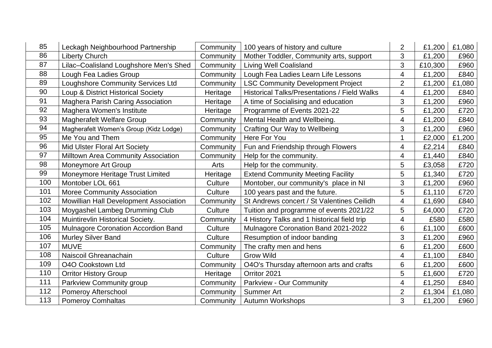| 85  | Leckagh Neighbourhood Partnership      | Community | 100 years of history and culture                    | $\overline{2}$ | £1,200  | £1,080 |
|-----|----------------------------------------|-----------|-----------------------------------------------------|----------------|---------|--------|
| 86  | <b>Liberty Church</b>                  | Community | Mother Toddler, Community arts, support             | 3              | £1,200  | £960   |
| 87  | Lilac-Coalisland Loughshore Men's Shed | Community | <b>Living Well Coalisland</b>                       | 3              | £10,300 | £960   |
| 88  | Lough Fea Ladies Group                 | Community | Lough Fea Ladies Learn Life Lessons                 | 4              | £1,200  | £840   |
| 89  | Loughshore Community Services Ltd      | Community | <b>LSC Community Development Project</b>            | $\overline{2}$ | £1,200  | £1,080 |
| 90  | Loup & District Historical Society     | Heritage  | <b>Historical Talks/Presentations / Field Walks</b> | 4              | £1,200  | £840   |
| 91  | Maghera Parish Caring Association      | Heritage  | A time of Socialising and education                 | 3              | £1,200  | £960   |
| 92  | Maghera Women's Institute              | Heritage  | Programme of Events 2021-22                         | 5              | £1,200  | £720   |
| 93  | <b>Magherafelt Welfare Group</b>       | Community | Mental Health and Wellbeing.                        | 4              | £1,200  | £840   |
| 94  | Magherafelt Women's Group (Kidz Lodge) | Community | <b>Crafting Our Way to Wellbeing</b>                | 3              | £1,200  | £960   |
| 95  | Me You and Them                        | Community | Here For You                                        |                | £2,000  | £1,200 |
| 96  | Mid Ulster Floral Art Society          | Community | Fun and Friendship through Flowers                  | 4              | £2,214  | £840   |
| 97  | Milltown Area Community Association    | Community | Help for the community.                             | 4              | £1,440  | £840   |
| 98  | Moneymore Art Group                    | Arts      | Help for the community.                             | 5              | £3,058  | £720   |
| 99  | Moneymore Heritage Trust Limited       | Heritage  | <b>Extend Community Meeting Facility</b>            | 5              | £1,340  | £720   |
| 100 | Montober LOL 661                       | Culture   | Montober, our community's place in NI               | 3              | £1,200  | £960   |
| 101 | Moree Community Association            | Culture   | 100 years past and the future.                      | 5              | £1,110  | £720   |
| 102 | Mowillian Hall Development Association | Community | St Andrews concert / St Valentines Ceilidh          | 4              | £1,690  | £840   |
| 103 | Moygashel Lambeg Drumming Club         | Culture   | Tuition and programme of events 2021/22             | 5              | £4,000  | £720   |
| 104 | Muintirevlin Historical Society.       | Community | 4 History Talks and 1 historical field trip         | 4              | £580    | £580   |
| 105 | Mulnagore Coronation Accordion Band    | Culture   | Mulnagore Coronation Band 2021-2022                 | 6              | £1,100  | £600   |
| 106 | Murley Silver Band                     | Culture   | Resumption of indoor banding                        | 3              | £1,200  | £960   |
| 107 | <b>MUVE</b>                            | Community | The crafty men and hens                             | 6              | £1,200  | £600   |
| 108 | Naiscoil Ghreanachain                  | Culture   | <b>Grow Wild</b>                                    | 4              | £1,100  | £840   |
| 109 | <b>O4O Cookstown Ltd</b>               | Community | O4O's Thursday afternoon arts and crafts            | 6              | £1,200  | £600   |
| 110 | <b>Orritor History Group</b>           | Heritage  | Orritor 2021                                        | 5              | £1,600  | £720   |
| 111 | Parkview Community group               | Community | <b>Parkview - Our Community</b>                     | 4              | £1,250  | £840   |
| 112 | Pomeroy Afterschool                    | Community | <b>Summer Art</b>                                   | $\overline{2}$ | £1,304  | £1,080 |
| 113 | <b>Pomeroy Comhaltas</b>               | Community | Autumn Workshops                                    | 3              | £1,200  | £960   |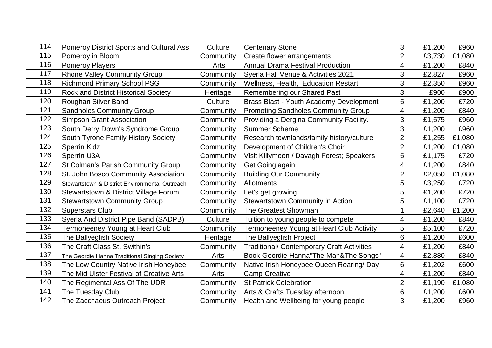| 114 | <b>Pomeroy District Sports and Cultural Ass</b> | Culture   | <b>Centenary Stone</b>                            | 3                       | £1,200 | £960   |
|-----|-------------------------------------------------|-----------|---------------------------------------------------|-------------------------|--------|--------|
| 115 | Pomeroy in Bloom                                | Community | Create flower arrangements                        | $\overline{2}$          | £3,730 | £1,080 |
| 116 | <b>Pomeroy Players</b>                          | Arts      | <b>Annual Drama Festival Production</b>           | 4                       | £1,200 | £840   |
| 117 | <b>Rhone Valley Community Group</b>             | Community | Syerla Hall Venue & Activities 2021               | 3                       | £2,827 | £960   |
| 118 | <b>Richmond Primary School PSG</b>              | Community | Wellness, Health, Education Restart               | 3                       | £2,350 | £960   |
| 119 | <b>Rock and District Historical Society</b>     | Heritage  | Remembering our Shared Past                       | 3                       | £900   | £900   |
| 120 | <b>Roughan Silver Band</b>                      | Culture   | Brass Blast - Youth Academy Development           | 5                       | £1,200 | £720   |
| 121 | <b>Sandholes Community Group</b>                | Community | <b>Promoting Sandholes Community Group</b>        | 4                       | £1,200 | £840   |
| 122 | <b>Simpson Grant Association</b>                | Community | Providing a Dergina Community Facility.           | 3                       | £1,575 | £960   |
| 123 | South Derry Down's Syndrome Group               | Community | <b>Summer Scheme</b>                              | 3                       | £1,200 | £960   |
| 124 | South Tyrone Family History Society             | Community | Research townlands/family history/culture         | $\overline{2}$          | £1,255 | £1,080 |
| 125 | <b>Sperrin Kidz</b>                             | Community | Development of Children's Choir                   | $\overline{2}$          | £1,200 | £1,080 |
| 126 | Sperrin U3A                                     | Community | Visit Killymoon / Davagh Forest; Speakers         | 5                       | £1,175 | £720   |
| 127 | St Colman's Parish Community Group              | Community | Get Going again                                   | $\overline{4}$          | £1,200 | £840   |
| 128 | St. John Bosco Community Association            | Community | <b>Building Our Community</b>                     | $\overline{2}$          | £2,050 | £1,080 |
| 129 | Stewartstown & District Environmental Outreach  | Community | <b>Allotments</b>                                 | 5                       | £3,250 | £720   |
| 130 | Stewartstown & District Village Forum           | Community | Let's get growing                                 | 5                       | £1,200 | £720   |
| 131 | <b>Stewartstown Community Group</b>             | Community | <b>Stewartstown Community in Action</b>           | 5                       | £1,100 | £720   |
| 132 | <b>Superstars Club</b>                          | Community | The Greatest Showman                              |                         | £2,640 | £1,200 |
| 133 | Syerla And District Pipe Band (SADPB)           | Culture   | Tuition to young people to compete                | 4                       | £1,200 | £840   |
| 134 | Termoneeney Young at Heart Club                 | Community | Termoneeney Young at Heart Club Activity          | 5                       | £5,100 | £720   |
| 135 | The Ballyeglish Society                         | Heritage  | The Ballyeglish Project                           | 6                       | £1,200 | £600   |
| 136 | The Craft Class St. Swithin's                   | Community | <b>Traditional/ Contemporary Craft Activities</b> | $\overline{\mathbf{4}}$ | £1,200 | £840   |
| 137 | The Geordie Hanna Traditional Singing Society   | Arts      | Book-Geordie Hanna"The Man&The Songs"             | 4                       | £2,880 | £840   |
| 138 | The Low Country Native Irish Honeybee           | Community | Native Irish Honeybee Queen Rearing/ Day          | 6                       | £1,202 | £600   |
| 139 | The Mid Ulster Festival of Creative Arts        | Arts      | <b>Camp Creative</b>                              | $\overline{4}$          | £1,200 | £840   |
| 140 | The Regimental Ass Of The UDR                   | Community | <b>St Patrick Celebration</b>                     | $\overline{2}$          | £1,190 | £1,080 |
| 141 | The Tuesday Club                                | Community | Arts & Crafts Tuesday afternoon.                  | 6                       | £1,200 | £600   |
| 142 | The Zacchaeus Outreach Project                  | Community | Health and Wellbeing for young people             | 3                       | £1,200 | £960   |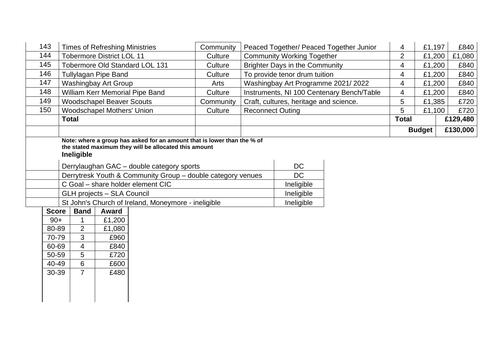| 143                                                                         |                                                                                   | <b>Times of Refreshing Ministries</b>                                                                         |                                                                                                                                                                                                                                                               | Community |                         |                                                                  | Peaced Together/ Peaced Together Junior   | 4              | £1,197        | £840     |
|-----------------------------------------------------------------------------|-----------------------------------------------------------------------------------|---------------------------------------------------------------------------------------------------------------|---------------------------------------------------------------------------------------------------------------------------------------------------------------------------------------------------------------------------------------------------------------|-----------|-------------------------|------------------------------------------------------------------|-------------------------------------------|----------------|---------------|----------|
| 144                                                                         |                                                                                   | <b>Tobermore District LOL 11</b>                                                                              |                                                                                                                                                                                                                                                               | Culture   |                         | <b>Community Working Together</b>                                |                                           | $\overline{2}$ | £1,200        | £1,080   |
| 145                                                                         |                                                                                   |                                                                                                               | Tobermore Old Standard LOL 131                                                                                                                                                                                                                                | Culture   |                         | <b>Brighter Days in the Community</b>                            |                                           | 4              | £1,200        | £840     |
| 146                                                                         |                                                                                   | <b>Tullylagan Pipe Band</b>                                                                                   |                                                                                                                                                                                                                                                               | Culture   |                         | To provide tenor drum tuition                                    |                                           | 4              | £1,200        | £840     |
| 147                                                                         |                                                                                   | <b>Washingbay Art Group</b>                                                                                   |                                                                                                                                                                                                                                                               | Arts      |                         | Washingbay Art Programme 2021/2022                               |                                           | 4              | £1,200        | £840     |
| 148                                                                         |                                                                                   |                                                                                                               | <b>William Kerr Memorial Pipe Band</b>                                                                                                                                                                                                                        | Culture   |                         |                                                                  | Instruments, NI 100 Centenary Bench/Table | $\overline{4}$ | £1,200        | £840     |
| 149                                                                         |                                                                                   | <b>Woodschapel Beaver Scouts</b>                                                                              |                                                                                                                                                                                                                                                               | Community |                         | Craft, cultures, heritage and science.                           |                                           | 5              | £1,385        | £720     |
| 150                                                                         |                                                                                   | <b>Woodschapel Mothers' Union</b>                                                                             |                                                                                                                                                                                                                                                               | Culture   | <b>Reconnect Outing</b> |                                                                  |                                           | 5              | £1,100        | £720     |
|                                                                             | <b>Total</b>                                                                      |                                                                                                               |                                                                                                                                                                                                                                                               |           |                         |                                                                  |                                           | <b>Total</b>   |               | £129,480 |
|                                                                             |                                                                                   |                                                                                                               |                                                                                                                                                                                                                                                               |           |                         |                                                                  |                                           |                | <b>Budget</b> | £130,000 |
| <b>Score</b><br>$90+$<br>80-89<br>70-79<br>60-69<br>50-59<br>40-49<br>30-39 | Ineligible<br><b>Band</b><br>2<br>3<br>$\overline{4}$<br>5<br>6<br>$\overline{7}$ | <b>GLH projects - SLA Council</b><br><b>Award</b><br>£1,200<br>£1,080<br>£960<br>£840<br>£720<br>£600<br>£480 | the stated maximum they will be allocated this amount<br>Derrylaughan GAC - double category sports<br>Derrytresk Youth & Community Group - double category venues<br>C Goal - share holder element CIC<br>St John's Church of Ireland, Moneymore - ineligible |           |                         | <b>DC</b><br><b>DC</b><br>Ineligible<br>Ineligible<br>Ineligible |                                           |                |               |          |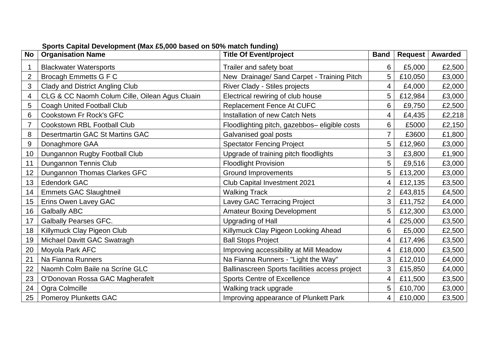| <b>No</b>      | <b>Organisation Name</b>                       | <b>Title Of Event/project</b>                  | <b>Band</b> | <b>Request</b> | <b>Awarded</b> |
|----------------|------------------------------------------------|------------------------------------------------|-------------|----------------|----------------|
|                | <b>Blackwater Watersports</b>                  | Trailer and safety boat                        | 6           | £5,000         | £2,500         |
| $\overline{2}$ | <b>Brocagh Emmetts G F C</b>                   | New Drainage/ Sand Carpet - Training Pitch     | 5           | £10,050        | £3,000         |
| 3              | Clady and District Angling Club                | River Clady - Stiles projects                  | 4           | £4,000         | £2,000         |
| 4              | CLG & CC Naomh Colum Cille, Oilean Agus Cluain | Electrical rewiring of club house              | 5           | £12,984        | £3,000         |
| 5              | Coagh United Football Club                     | <b>Replacement Fence At CUFC</b>               | 6           | £9,750         | £2,500         |
| 6              | Cookstown Fr Rock's GFC                        | Installation of new Catch Nets                 | 4           | £4,435         | £2,218         |
|                | Cookstown RBL Football Club                    | Floodlighting pitch, gazebbos- eligible costs  | 6           | £5000          | £2,150         |
| 8              | Desertmartin GAC St Martins GAC                | Galvanised goal posts                          | 7           | £3600          | £1,800         |
| 9              | Donaghmore GAA                                 | <b>Spectator Fencing Project</b>               | 5           | £12,960        | £3,000         |
| 10             | Dungannon Rugby Football Club                  | Upgrade of training pitch floodlights          | 3           | £3,800         | £1,900         |
| 11             | Dungannon Tennis Club                          | <b>Floodlight Provision</b>                    | 5           | £9,516         | £3,000         |
| 12             | Dungannon Thomas Clarkes GFC                   | <b>Ground Improvements</b>                     | 5           | £13,200        | £3,000         |
| 13             | <b>Edendork GAC</b>                            | Club Capital Investment 2021                   | 4           | £12,135        | £3,500         |
| 14             | <b>Emmets GAC Slaughtneil</b>                  | <b>Walking Track</b>                           |             | £43,815        | £4,500         |
| 15             | Erins Owen Lavey GAC                           | Lavey GAC Terracing Project                    | 3           | £11,752        | £4,000         |
| 16             | <b>Galbally ABC</b>                            | <b>Amateur Boxing Development</b>              | 5           | £12,300        | £3,000         |
| 17             | <b>Galbally Pearses GFC.</b>                   | <b>Upgrading of Hall</b>                       | 4           | £25,000        | £3,500         |
| 18             | Killymuck Clay Pigeon Club                     | Killymuck Clay Pigeon Looking Ahead            | 6           | £5,000         | £2,500         |
| 19             | Michael Davitt GAC Swatragh                    | <b>Ball Stops Project</b>                      | 4           | £17,496        | £3,500         |
| 20             | Moyola Park AFC                                | Improving accessibility at Mill Meadow         | 4           | £18,000        | £3,500         |
| 21             | Na Fianna Runners                              | Na Fianna Runners - "Light the Way"            | 3           | £12,010        | £4,000         |
| 22             | Naomh Colm Baile na Scrine GLC                 | Ballinascreen Sports facilities access project | 3           | £15,850        | £4,000         |
| 23             | O'Donovan Rossa GAC Magherafelt                | <b>Sports Centre of Excellence</b>             | 4           | £11,500        | £3,500         |
| 24             | Ogra Colmcille                                 | Walking track upgrade                          | 5           | £10,700        | £3,000         |
| 25             | <b>Pomeroy Plunketts GAC</b>                   | Improving appearance of Plunkett Park          | 4           | £10,000        | £3,500         |

**Sports Capital Development (Max £5,000 based on 50% match funding)**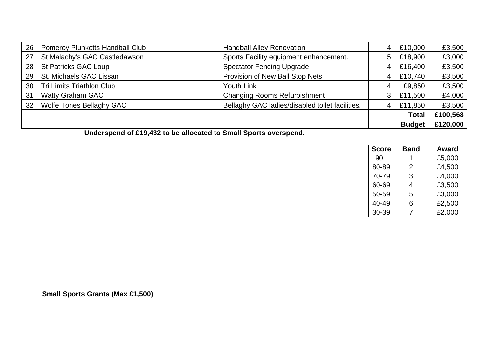| 26 | <b>Pomeroy Plunketts Handball Club</b><br><b>Handball Alley Renovation</b> |                                                 | 4 | £10,000       | £3,500   |
|----|----------------------------------------------------------------------------|-------------------------------------------------|---|---------------|----------|
| 27 | St Malachy's GAC Castledawson                                              | Sports Facility equipment enhancement.          | 5 | £18,900       | £3,000   |
| 28 | St Patricks GAC Loup                                                       | <b>Spectator Fencing Upgrade</b>                | 4 | £16,400       | £3,500   |
| 29 | St. Michaels GAC Lissan                                                    | Provision of New Ball Stop Nets                 | 4 | £10,740       | £3,500   |
| 30 | <b>Tri Limits Triathlon Club</b>                                           | Youth Link                                      | 4 | £9,850        | £3,500   |
| 31 | <b>Watty Graham GAC</b>                                                    | <b>Changing Rooms Refurbishment</b>             |   | £11,500       | £4,000   |
| 32 | <b>Wolfe Tones Bellaghy GAC</b>                                            | Bellaghy GAC ladies/disabled toilet facilities. | 4 | £11,850       | £3,500   |
|    |                                                                            |                                                 |   | <b>Total</b>  | £100,568 |
|    |                                                                            |                                                 |   | <b>Budget</b> | £120,000 |

**Underspend of £19,432 to be allocated to Small Sports overspend.**

| <b>Score</b> | <b>Band</b> | <b>Award</b> |
|--------------|-------------|--------------|
| $90+$        |             | £5,000       |
| 80-89        | 2           | £4,500       |
| 70-79        | 3           | £4,000       |
| 60-69        | 4           | £3,500       |
| 50-59        | 5           | £3,000       |
| 40-49        | 6           | £2,500       |
| 30-39        |             | £2,000       |

**Small Sports Grants (Max £1,500)**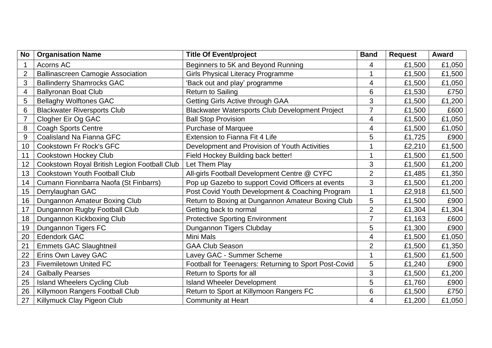| <b>No</b>      | <b>Organisation Name</b>                     | <b>Title Of Event/project</b><br><b>Band</b>          |                | <b>Request</b> | <b>Award</b> |
|----------------|----------------------------------------------|-------------------------------------------------------|----------------|----------------|--------------|
|                | Acorns AC                                    | Beginners to 5K and Beyond Running                    | 4              | £1,500         | £1,050       |
| $\overline{2}$ | <b>Ballinascreen Camogie Association</b>     | <b>Girls Physical Literacy Programme</b>              |                | £1,500         | £1,500       |
| 3              | <b>Ballinderry Shamrocks GAC</b>             | 'Back out and play' programme                         | 4              | £1,500         | £1,050       |
| 4              | <b>Ballyronan Boat Club</b>                  | <b>Return to Sailing</b>                              | 6              | £1,530         | £750         |
| 5              | <b>Bellaghy Wolftones GAC</b>                | Getting Girls Active through GAA                      | 3              | £1,500         | £1,200       |
| 6              | <b>Blackwater Riversports Club</b>           | Blackwater Watersports Club Development Project       | 7              | £1,500         | £600         |
| $\overline{7}$ | Clogher Eir Og GAC                           | <b>Ball Stop Provision</b>                            | 4              | £1,500         | £1,050       |
| 8              | <b>Coagh Sports Centre</b>                   | <b>Purchase of Marquee</b>                            | 4              | £1,500         | £1,050       |
| 9              | Coalisland Na Fianna GFC                     | Extension to Fianna Fit 4 Life                        | 5              | £1,725         | £900         |
| 10             | Cookstown Fr Rock's GFC                      | Development and Provision of Youth Activities         |                | £2,210         | £1,500       |
| 11             | <b>Cookstown Hockey Club</b>                 | Field Hockey Building back better!                    |                | £1,500         | £1,500       |
| 12             | Cookstown Royal British Legion Football Club | Let Them Play                                         | 3              | £1,500         | £1,200       |
| 13             | <b>Cookstown Youth Football Club</b>         | All-girls Football Development Centre @ CYFC          | $\overline{2}$ | £1,485         | £1,350       |
| 14             | Cumann Fionnbarra Naofa (St Finbarrs)        | Pop up Gazebo to support Covid Officers at events     | 3              | £1,500         | £1,200       |
| 15             | Derrylaughan GAC                             | Post Covid Youth Development & Coaching Program       |                | £2,918         | £1,500       |
| 16             | Dungannon Amateur Boxing Club                | Return to Boxing at Dungannon Amateur Boxing Club     | 5              | £1,500         | £900         |
| 17             | Dungannon Rugby Football Club                | Getting back to normal                                | $\overline{2}$ | £1,304         | £1,304       |
| 18             | Dungannon Kickboxing Club                    | <b>Protective Sporting Environment</b>                | 7              | £1,163         | £600         |
| 19             | Dungannon Tigers FC                          | Dungannon Tigers Clubday                              | 5              | £1,300         | £900         |
| 20             | <b>Edendork GAC</b>                          | <b>Mini Mals</b>                                      | 4              | £1,500         | £1,050       |
| 21             | <b>Emmets GAC Slaughtneil</b>                | <b>GAA Club Season</b>                                | $\overline{2}$ | £1,500         | £1,350       |
| 22             | Erins Own Lavey GAC                          | Lavey GAC - Summer Scheme                             |                | £1,500         | £1,500       |
| 23             | <b>Fivemiletown United FC</b>                | Football for Teenagers: Returning to Sport Post-Covid | 5              | £1,240         | £900         |
| 24             | <b>Galbally Pearses</b>                      | Return to Sports for all                              | 3              | £1,500         | £1,200       |
| 25             | <b>Island Wheelers Cycling Club</b>          | <b>Island Wheeler Development</b>                     | 5              | £1,760         | £900         |
| 26             | Killymoon Rangers Football Club              | Return to Sport at Killymoon Rangers FC               | 6              | £1,500         | £750         |
| 27             | Killymuck Clay Pigeon Club                   | <b>Community at Heart</b>                             | 4              | £1,200         | £1,050       |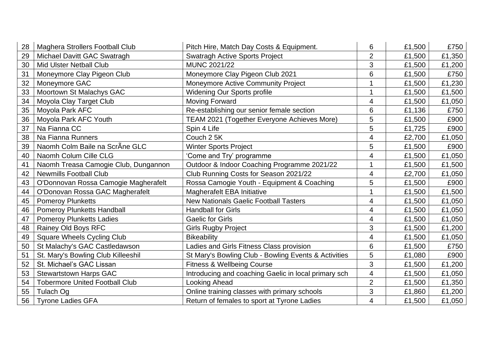| 28 | <b>Maghera Strollers Football Club</b> | Pitch Hire, Match Day Costs & Equipment.             | 6              | £1,500 | £750   |
|----|----------------------------------------|------------------------------------------------------|----------------|--------|--------|
| 29 | Michael Davitt GAC Swatragh            | <b>Swatragh Active Sports Project</b>                | $\overline{2}$ | £1,500 | £1,350 |
| 30 | <b>Mid Ulster Netball Club</b>         | MUNC 2021/22                                         | 3              | £1,500 | £1,200 |
| 31 | Moneymore Clay Pigeon Club             | Moneymore Clay Pigeon Club 2021                      | 6              | £1,500 | £750   |
| 32 | Moneymore GAC                          | Moneymore Active Community Project                   |                | £1,500 | £1,230 |
| 33 | Moortown St Malachys GAC               | <b>Widening Our Sports profile</b>                   |                | £1,500 | £1,500 |
| 34 | Moyola Clay Target Club                | <b>Moving Forward</b>                                | 4              | £1,500 | £1,050 |
| 35 | Moyola Park AFC                        | Re-establishing our senior female section            | 6              | £1,136 | £750   |
| 36 | Moyola Park AFC Youth                  | <b>TEAM 2021 (Together Everyone Achieves More)</b>   | 5              | £1,500 | £900   |
| 37 | Na Fianna CC                           | Spin 4 Life                                          | 5              | £1,725 | £900   |
| 38 | Na Fianna Runners                      | Couch 2 5K                                           | 4              | £2,700 | £1,050 |
| 39 | Naomh Colm Baile na ScrÂne GLC         | <b>Winter Sports Project</b>                         | 5              | £1,500 | £900   |
| 40 | Naomh Colum Cille CLG                  | 'Come and Try' programme                             | 4              | £1,500 | £1,050 |
| 41 | Naomh Treasa Camogie Club, Dungannon   | Outdoor & Indoor Coaching Programme 2021/22          |                | £1,500 | £1,500 |
| 42 | <b>Newmills Football Club</b>          | Club Running Costs for Season 2021/22                | 4              | £2,700 | £1,050 |
| 43 | O'Donnovan Rossa Camogie Magherafelt   | Rossa Camogie Youth - Equipment & Coaching           | 5              | £1,500 | £900   |
| 44 | O'Donovan Rossa GAC Magherafelt        | Magherafelt EBA Initiative                           |                | £1,500 | £1,500 |
| 45 | <b>Pomeroy Plunketts</b>               | <b>New Nationals Gaelic Football Tasters</b>         | 4              | £1,500 | £1,050 |
| 46 | Pomeroy Plunketts Handball             | <b>Handball for Girls</b>                            | 4              | £1,500 | £1,050 |
| 47 | <b>Pomeroy Plunketts Ladies</b>        | <b>Gaelic for Girls</b>                              | 4              | £1,500 | £1,050 |
| 48 | Rainey Old Boys RFC                    | <b>Girls Rugby Project</b>                           | 3              | £1,500 | £1,200 |
| 49 | <b>Square Wheels Cycling Club</b>      | Bikeability                                          | 4              | £1,500 | £1,050 |
| 50 | St Malachy's GAC Castledawson          | Ladies and Girls Fitness Class provision             | 6              | £1,500 | £750   |
| 51 | St. Mary's Bowling Club Killeeshil     | St Mary's Bowling Club - Bowling Events & Activities | 5              | £1,080 | £900   |
| 52 | St. Michael's GAC Lissan               | <b>Fitness &amp; Wellbeing Course</b>                | 3              | £1,500 | £1,200 |
| 53 | <b>Stewartstown Harps GAC</b>          | Introducing and coaching Gaelic in local primary sch | 4              | £1,500 | £1,050 |
| 54 | <b>Tobermore United Football Club</b>  | <b>Looking Ahead</b>                                 | $\overline{2}$ | £1,500 | £1,350 |
| 55 | <b>Tulach Og</b>                       | Online training classes with primary schools         | 3              | £1,860 | £1,200 |
| 56 | <b>Tyrone Ladies GFA</b>               | Return of females to sport at Tyrone Ladies          | 4              | £1,500 | £1,050 |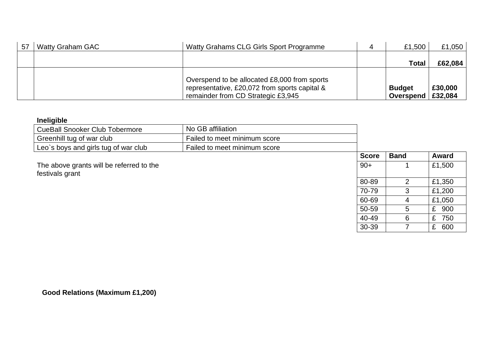| 57 | Watty Grahams CLG Girls Sport Programme<br><b>Watty Graham GAC</b> |                                                                                                                                     | £1,500                     | £1,050 $\parallel$ |
|----|--------------------------------------------------------------------|-------------------------------------------------------------------------------------------------------------------------------------|----------------------------|--------------------|
|    |                                                                    |                                                                                                                                     | Total                      | £62,084            |
|    |                                                                    | Overspend to be allocated £8,000 from sports<br>representative, £20,072 from sports capital &<br>remainder from CD Strategic £3,945 | <b>Budget</b><br>Overspend | £30,000<br>£32,084 |

### **Ineligible**

| CueBall Snooker Club Tobermore       | No GB affiliation            |
|--------------------------------------|------------------------------|
| Greenhill tug of war club            | Failed to meet minimum score |
| Leo's boys and girls tug of war club | Failed to meet minimum score |

The above grants will be referred to the festivals grant

| <b>Score</b> | <b>Band</b> | <b>Award</b>        |
|--------------|-------------|---------------------|
| $90+$        | 1           | £1,500              |
| 80-89        | 2           | £1,350              |
| 70-79        | 3           | £1,200              |
| 60-69        | 4           | £1,050              |
| 50-59        | 5           | £ 900               |
| 40-49        | 6           | £ 750               |
| 30-39        |             | $\mathbf{f}$<br>റെറ |

**Good Relations (Maximum £1,200)**